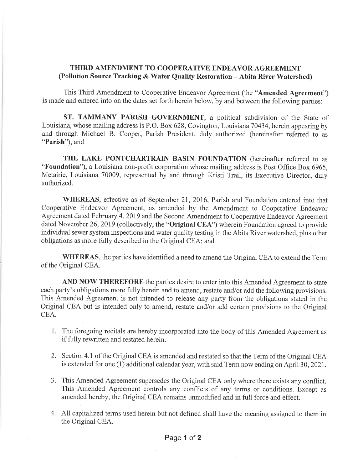## THIRD AMENDMENT TO COOPERATIVE ENDEAVOR AGREEMENT (Pollution Source Tracking & Water Quality Restoration - Abita River Watershed)

This Third Amendment to Cooperative Endeavor Agreement (the "**Amended Agreement**") is made and entered into on the dates set forth herein below, by and between the following parties:

ST. TAMMANY PARISH GOVERNMENT, a political subdivision of the State of Louisiana, whose mailing address is P.O. Box 628, Covington, Louisiana 70434, herein appearing by and through Michael B. Cooper, Parish President, duly authorized (hereinafter referred to as "Parish"); and

THE LAKE PONTCHARTRAIN BASIN FOUNDATION (hereinafter referred to as "Foundation"), a Louisiana non-profit corporation whose mailing address is Post Office Box 6965, Metairie, Louisiana 70009, represented by and through Kristi Trail, its Executive Director, duly authorized.

WHEREAS, effective as of September 21, 2016, Parish and Foundation entered into that Cooperative Endeavor Agreement, as amended by the Amendment to Cooperative Endeavor Agreement dated February 4,2019 and the Second Amendment to Cooperative Endeavor Agreement dated November 26, 2019 (collectively, the "Original CEA") wherein Foundation agreed to provide individual sewer system inspections and water quality testing in the Abita River watershed, plus other obligations as more fully described in the Original CEA; and

WHEREAS, the parties have identified a need to amend the Original CEA to extend the Term of the Original CEA.

AND NOW THEREFORE the parties desire to enter into this Amended Agreement to state each party's obligations more fully herein and to amend, restate and/or add the following provisions. This Amended Agreement is not intended to release any party from the obligations stated in the Original CEA but is intended only to amend, restate and/or add certain provisions to the Original CEA.

- 1. The foregoing recitals are hereby incorporated into the body of this Amended Agreement as if fully rewritten and restated herein.
- 2. Section 4.1 of the Original CEA is amended and restated so that the Term of the Original CEA is extended for one (1) additional calendar year, with said Term now ending on April 30,2021.
- 3. This Amended Agreement supersedes the Original CEA only where there exists any conflict. This Amended Agreement controls any conflicts of any terms or conditions. Except as amended hereby, the Original CEA remains unmodified and in full force and effect.
- 4. All capitalized terms used herein but not defined shall have the meaning assigned to them in the Original CEA.